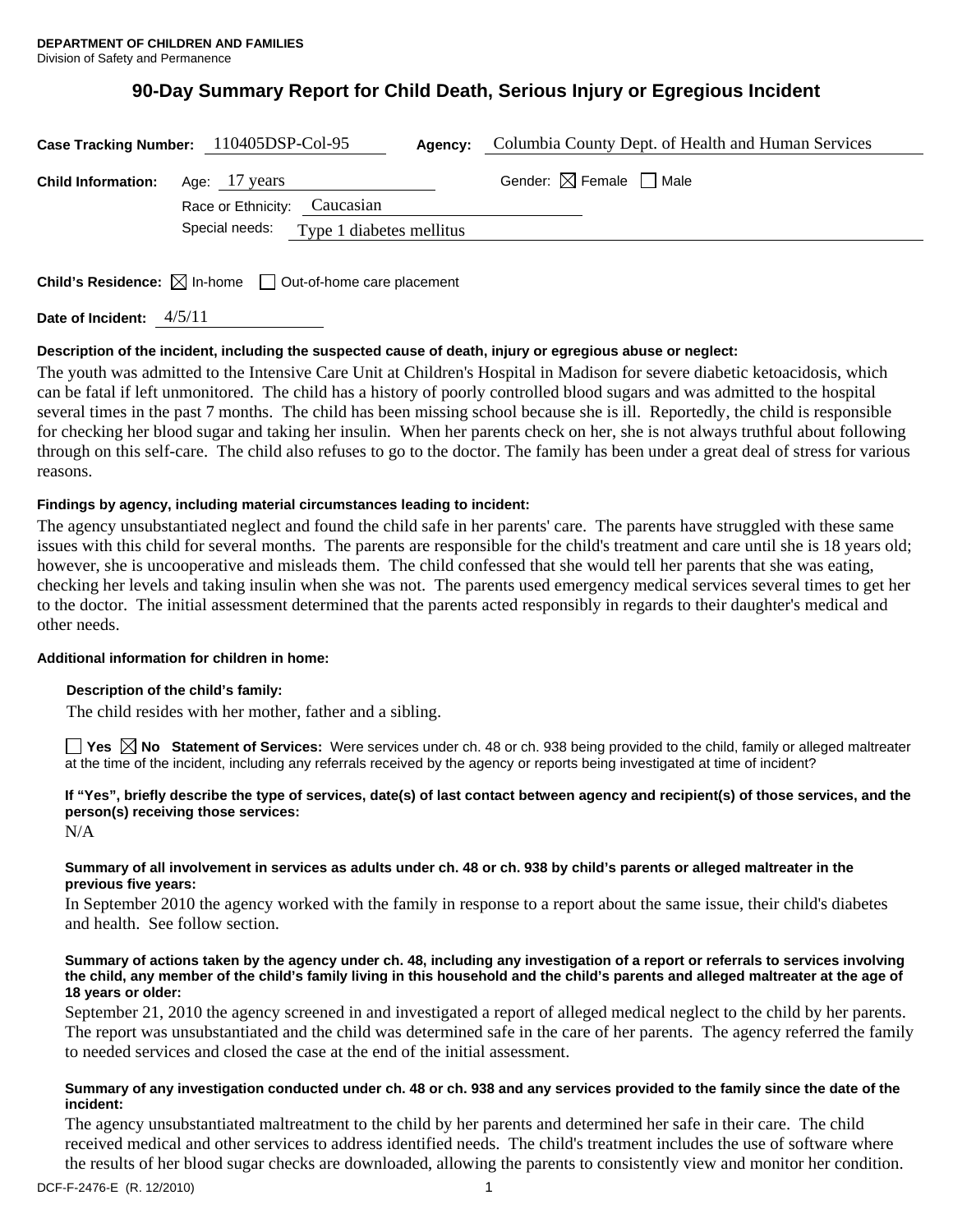# **90-Day Summary Report for Child Death, Serious Injury or Egregious Incident**

|                                                                                 | Case Tracking Number: 110405DSP-Col-95  | Agency: | Columbia County Dept. of Health and Human Services |
|---------------------------------------------------------------------------------|-----------------------------------------|---------|----------------------------------------------------|
| <b>Child Information:</b> Age: 17 years                                         | Race or Ethnicity: Caucasian            |         | Gender: $\boxtimes$ Female $\Box$ Male             |
|                                                                                 | Special needs: Type 1 diabetes mellitus |         |                                                    |
| <b>Child's Residence:</b> $\boxtimes$ In-home $\Box$ Out-of-home care placement |                                         |         |                                                    |

**Date of Incident:** 4/5/11

## **Description of the incident, including the suspected cause of death, injury or egregious abuse or neglect:**

The youth was admitted to the Intensive Care Unit at Children's Hospital in Madison for severe diabetic ketoacidosis, which can be fatal if left unmonitored. The child has a history of poorly controlled blood sugars and was admitted to the hospital several times in the past 7 months. The child has been missing school because she is ill. Reportedly, the child is responsible for checking her blood sugar and taking her insulin. When her parents check on her, she is not always truthful about following through on this self-care. The child also refuses to go to the doctor. The family has been under a great deal of stress for various reasons.

## **Findings by agency, including material circumstances leading to incident:**

The agency unsubstantiated neglect and found the child safe in her parents' care. The parents have struggled with these same issues with this child for several months. The parents are responsible for the child's treatment and care until she is 18 years old; however, she is uncooperative and misleads them. The child confessed that she would tell her parents that she was eating, checking her levels and taking insulin when she was not. The parents used emergency medical services several times to get her to the doctor. The initial assessment determined that the parents acted responsibly in regards to their daughter's medical and other needs.

## **Additional information for children in home:**

## **Description of the child's family:**

The child resides with her mother, father and a sibling.

**Yes No Statement of Services:** Were services under ch. 48 or ch. 938 being provided to the child, family or alleged maltreater at the time of the incident, including any referrals received by the agency or reports being investigated at time of incident?

# **If "Yes", briefly describe the type of services, date(s) of last contact between agency and recipient(s) of those services, and the person(s) receiving those services:**

N/A

### **Summary of all involvement in services as adults under ch. 48 or ch. 938 by child's parents or alleged maltreater in the previous five years:**

In September 2010 the agency worked with the family in response to a report about the same issue, their child's diabetes and health. See follow section.

### **Summary of actions taken by the agency under ch. 48, including any investigation of a report or referrals to services involving the child, any member of the child's family living in this household and the child's parents and alleged maltreater at the age of 18 years or older:**

September 21, 2010 the agency screened in and investigated a report of alleged medical neglect to the child by her parents. The report was unsubstantiated and the child was determined safe in the care of her parents. The agency referred the family to needed services and closed the case at the end of the initial assessment.

### **Summary of any investigation conducted under ch. 48 or ch. 938 and any services provided to the family since the date of the incident:**

The agency unsubstantiated maltreatment to the child by her parents and determined her safe in their care. The child received medical and other services to address identified needs. The child's treatment includes the use of software where the results of her blood sugar checks are downloaded, allowing the parents to consistently view and monitor her condition.